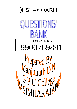



FOR MESSAGES ONLY

# 9900769891

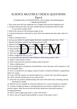# SCIENCE MULTIPLE CHOICE QUESTIONS Part-4

[Compilation By D N MANJUNATH, G.P.U.College, Narasimharajapura] 1 MARK QUESTIONS

- 1. How many times the first magnitude star is brighter than the third magnitude star?
- 2. Compact fluorescent tubes are more suitable than the Incandescent electric bulbs to save electric energy. Why?
- 3. What is the reason for the enormous energy of sun.
- 4. Calcium bicarbonate is dissolved in water. Write the equation that takes place when it is boiled?
- 5. What is centripetal force?
- 6. In the power stroke of a petrol engine the piston is pushed with great force. Why?
- 7. Mention the genetic material and enzyme present in HIV.
- Experimentured wastes which flows into the Naturel water bodies.<br>
FPC conduct hality test of a d roducts performed ally<br>
force.<br>
The conduct hality test of a d roducts performed ally<br>
the ratio of a star ? 8. Mention two Agricultural wastes which flows into the Natural water body
- 9. Write any one function of Pagocytes present in Lymph tissue.
- 10. Why should FP $\epsilon$  conduct uality test of  $\delta$  of food products periodically
- 11. Define centripet force.
- 12. Why does a runner while running in a sharp curved path lean inward ?
- 13.What is magnitude scale of a star ?
- 14. In Karnataka state generally load-shedding is done during summer. Why ?
- 15. What is conservation of water ?
- 16. What is the reason for enormous energy output of the sun ?
- 17. What is Inflorescence ?

18. Even though there is production of hydrochloric acid in the inner wall of stomach, it will not be damaged. Why ?

19. Now it is preferred to use organic manures in place of chemical fertilizers in agricultural field. Give reason.

20. A boy with HIV positive was denied admission in a school. The court did not approve this. What scientific justification do you make on this ?

- 21. Name the two products obtained along with water when hard water containing calcium bicarbonate is boiled.
- 22. Mention any two methods by which the induced e.m.f. can be increased in a dynamo.

23. A person wrongly purchases a centrifugal governor to transfer a liquid from a low pressure region. Name the device that the person should have purchased instead of centrifugal governor.

- 24. Why is a bent copper pipe used in a solar water heater ?
- 25. How is the use of good roads profitable to owners of the motor cycles ?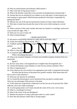26. Why are normal butane and isobutane called isomers ?

27. Why is the skin of frog always moist ?

28. What is the disorder caused due to less secretion of parathormone in human body ?

29. Assume that you are attacked by two robbers as you walk alone. At that moment you start running at a great speed. Which harmone produced in the body is responsible for getting that speed ?

30. Mention any one of the special characteristic features of tissue culture laboratory.

31. Why does a runner lean towards the centre of the curves while running in a curved path ?

32. When a mixture of fine sand, sawdust and water are rotated in a centrifuge, sand moves away towards the edges. Why ?

33. Write any two uses of solar cell.

34. What is biotechnology ?

### 1 MARK QUESTIONS

35. We need to avoid eating coloured ice candy sold on road sides. Why ?

36. A baby born deaf may also be dumb. Why ?

may also be dumb. Why ?<br>
Wh us rose s weight drawidly m y feel more hill than on<br>
ine<br>
containing yellow, blue and orange colours is passed through a<br>
ends the most ? 37. A diabetic patient who is losing weight drastically may feel more chill than diabetic

person. Why ?

38. What is a heat engine

39. A composite light containing yellow, blue and orange colours is passed through a prism. Which colour bends the most?

40. What is the minimum frequency of sound wave needed to prepare emulsion from two immiscible

liquids ?

41. By how many times a 3rd magnitude star is brighter than 5th magnitude star ?

- 42. Calcium bicarbonate causes hardness in water but not calcium carbonate. Why ?
- 43. What is Saponification ?
- 44. A boy observes the cross-section of an angiosperm stem under a compound microscope. He infers that the leaves of that plant have parallel venation. What observation led

him to arrive at this inference ?

45. Write any one function of cerebellum.

46. It is found that desired genes can be transferred from one plant to another plant.

Write any one advantage of this process to the plant.

47. A fish which has escaped from a fisherman's net has lost one of its pectoral fins. What difficulty will it face while swimming ?

- 48. A cyclist going round a curve leans towards the centre of the curve. Give reason.
- 49. What is a centrifugal Governor?
- 50. What is the colour of the star Betelgeuse?
- 51. Mention the purpose of using a plane glass sheet in a solar cooker?
- 52. How does the pressure cooker help in saving energy?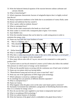- 53. Write the balanced chemical equation of the reaction between sodium carbonate and calcium chloride.
- 54. What is biotechnologY?

55. Which important characteristic feacture of selaginella depicts that it is highly evolved than Riccia?

- 56. Ramya experiences numbness in her limbs due to accumulation of watery fluids, name the disease and adulterant that has caused it.
- 57. Why is goiter called an endemic disease?
- 58. What is centripetal force?
- 59. How do the roads constructed at the bends on a level road?
- 60. Solar cooker is covered with a transparent plate of glass -Give reason.
- 61. State Hubble's law.

62. Write the remedial measure that can be taken by a cattle raring person in order to minimize the energy crisis.

- 63. Name any four salts that cause hardness of water.
- 64. Man is a Chordate, why?
- 65. Why should be the air pressure in middle and outer ear equal in man?
- 66. Name any two diseases caused due to the consumption of adultrated for
- 67. Define biotechnol
- 68. What is centrifuge.
- Man is a Chordate, why?<br>
65. Why should be taken to sure in mit and out are equal to man?<br>
66. Name any two diverses can be due to her moving prion of a a steed from the moving in a curved path?<br>
68. What is centrifuge?<br>
6

**MARK DUES TO NS** 

- 70. Which are the two regions of solar atmosphere?
- 71. How many silicon solar cells of 2 sq.cm. area are to be connected in a solar panel to produce 20v?

72. A person starts to use bicycle instead of a motor cycle.If others also follow this method then pressure on which source of energy can be minimized ?

- 73. What are the possible harms occurring with the continuous use of hard water in boilers?
- 74. Name any two plants which are having thallus.
- 75. "Photochemical smog and acid rain are curse to man kind" why?
- 76. Write any one of the application of DNA finger print technology.
- 77. Which substance is mixed as a adultrant in ghee?
- 78. In centrifuge how are particles of different densities separated ?
- 79. What is centripetal force ?
- 80. Name our Galaxy.
- 81. What happens when the glass cover on the solar water heater panel is removed ?

82. Karnataka Government has undertaken a programme of distributing fluorescent tubes. How is it a remedy for energy crisis ?

- 83. How do you test that water supplied to your home is temporarily hard water ?
- 84. What is recombinant DNA technology ?
- 85. Write two salient features of chordates.
- 86. Write the function of the gland which is embedded in the gland shown below ?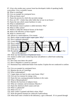87. A boy who resides near a power loom has developed a habit of speaking loudly everywhere. Give a scientific reason.

- 88. What is centrifuge?
- 89. Give an example for centripetal force.
- 90. What are binary stars?
- 91. Name the process by which the sun emits energy
- 92. How are CFC 's better than other bulbs that we use in our house ?
- 93. Name the ions which causes hardness in water.
- 94. What is endothelium?
- 95. Meristematic tissue in plants is called meristem. Why?
- 96. What is reflex action?
- 97. Which is called the chemical factory of the body?
- 98. What is the efficiency of heat engine?
- 99. What is a neutron star?
- 100. Silicon is a semiconductor. Give reason.
- 101. Black colour is used to paint copper pipes. Why?
- 102. How is permutit obtained?
- 103. A man identifies the leakage of L.P.G. by the smell of a chemical .Name it.
- 104. How is aerolar ssue helpful to our  $\alpha$  v?
- 105. Adulterated foods of metanily ellow colour have to be rejected . Wh
- 106. Mention the differences  $\frac{1}{x}$  w gaseous and set in entary cycle.
- 107. Write any 2 applications  $\vec{f}$  tissue culture.
- The state of L.P.G. by the smell of a chemical .Name it.<br>
lar ssue here if y?<br>
for sof metally vellow to the end of the reject.<br>
differences if y gaseous and directany cycle.<br>
applications if tissue cu ture.<br>
are trover in 108. Bryophytes are grown in the garden in rainy season. How can you make sure that they are Bryophytes?
- 109. Write any two functions of Epidermal tissue.
- 110. Xylem is called water conducting tissue and phloem is called food conducting tissue.Why?
- 111. How does nose detect the smell?
- 112. How is Hepatitis is caused in a person?
- 113. Ramamani buys adulterated butter from market. Explain the test conducted to confirm it.
- 114. Give an example for centripetal force.
- 115. Mention the use of Centrifuge.
- 116. What is photosphere?
- 117. Copper pipes are bent in solar water heater. Why?
- 118. Give any two reasons for energy crisis.
- 119. Name the ions causing permanent hardness in the water.
- 120. What is Metamorphosis?
- 121. Mention the functions of adipose tissue.
- 122. What are voluntary and involuntary Muscles ?
- 123. Name the chemical which causes acid rain
- 124. What is a photocell?
- 125. What is E.C.G.?
- 126. Solar cooker is painted with black colour. Why?
- 127. Write the general formula for carboxylic hydrocarbons.
- 128. When hard water is boiled in the laboratory, a gas is liberated. If it is passed through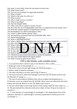lime water, it turns milky. Name the salt present in hard water.

- 129. What is hard water?
- 130. Give any two examples for egg laying mammals.
- 131. What is lymph?
- 132. Which is the center for reflex arc?
- 133. What is clone?
- 134. Why is diode used as a rectifier?
- 135. What is centrifuge?
- 136. State the Doppler Effect.
- 137. What is the role of coolant in nuclear reactor?
- 138. How does the use of biodegradable waste like cow dung decrease the energy crisis?
- 139. Write the example equation of manufacture of soaps
- 140. Pteridophytes are called tracheophytes. Why?
- 141. Goitre is called endemic disease. Why?
- 142. We should buy processed food with AGMARK label. Why?
- 143. Define biotechnology
- 144. What is centrifugal reaction?

The download the mercury and water is rotated about the second the mercury at the edge?<br>
in ty of a  $\frac{1}{2}$  in ty of a  $\frac{1}{2}$  in the contract and the mercury at the edge?<br>
tic do you that to separate the domain from t 145. When a shallow dish, containing some mercury and water is rotated about a vertical axis, then why does water stay at the centre and the mercury at the edge?

- 126. What is luminosity of a star?
- 127. Which radiation do you use to separate real artificial generator the heap?
- 128. What is the time taken to educe radium from  $\ln \ln \ln \ln \log$  to 0.1

129. In solar water **heaters copper pipes are bent into coils.** Give reason.

130. Ramesh observes a plant and decides that it belongs to dicot. How?

- 131. Adiantum is more evolved than Riccia. Justify the statement.
- 132. How does cuticle help for the aquatic plants?
- 133. What is meant by green house effect?

# Fill in the blanks with suitable terms

- 1. A p-n junction allows current to pass in one direction. This is called\_\_\_\_\_\_\_\_
- 2. Radar gun works on the principle of -
- 3. The device which converts light energy into electrical energy is \_\_\_\_\_\_
- 4. When a metal is heated its resistance
- 5. The effect that helps us to know about rings of Saturn is \_\_\_\_\_\_\_\_\_\_\_\_\_\_\_\_\_\_\_\_

6. The chain reaction in which four hydrogen nuclei fuse into one helium nucleus with the liberation of energy is

7. The type of semiconductor obtained when silicon is doped with phosphorous is\_\_\_\_\_ 8.Ultrasonic waves are emitted from the SONAR. These waves are reflected by the ocean bottom and reach the detector in 3sec, The depth of the ocean is

9. The part which helps to store large amount of heat energy inside the solar cooker is\_\_\_\_\_ 10. The gravitational force between earth and an object of mass 10 kg on its surface in newtons is …… .

11. 'I' is the intensity of scattered light of wavelength  $λ$ . The mathematical form of the statement "Intensity of scattered light is inversely proportional to fourth power of its wavelength" is ......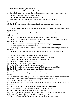| 16. The spectrum obtained from candle flame is called                                                                                       |
|---------------------------------------------------------------------------------------------------------------------------------------------|
| 17. Speed of the star is estimated by using the effect stated by the scientist                                                              |
|                                                                                                                                             |
| 19. The device that converts solar energy directly into electrical energy is called                                                         |
| .                                                                                                                                           |
| 20. In radio transmitter audible sound will be converted into corresponding electrical signals                                              |
| by the device                                                                                                                               |
| 21. In a person, kidney stones are formed. The sound waves to remove these stones are                                                       |
| called                                                                                                                                      |
| 22. The valency of the dopant used in the base region of p-n-p transistor is ________.                                                      |
| 23. The velocity of ultrasonic sound waves in water is 1.5 km/s. The distance travelled by                                                  |
| those waves in 2 seconds is $\frac{1}{2}$ km.                                                                                               |
| 24. The device which converts solar energy into electrical energy is _________.                                                             |
|                                                                                                                                             |
| 26. The velocity of ultrasound in water is $1.5$ km/s. The distance travelled by it in water in 3                                           |
|                                                                                                                                             |
| 27. The device used to provide electricity in the instruments of artificial satellites is                                                   |
|                                                                                                                                             |
| 28. To offer low resistance, diode should be biased in --------<br>29. If ultrasounds are used to check human heart, then it is called ---- |
| 30. In solar water heater copper pipes are bent as coils so as to form                                                                      |
| 31. The range of audible sound is -------------                                                                                             |
| 32. The device used to blow air and petrol is                                                                                               |
|                                                                                                                                             |
| 34. The device used to convert alternate current( $AC$ ) into direct current( $DC$ ) is --------                                            |
| 35. The device used to remove the grease and dirt from the clothes is ------------------                                                    |
| 36. The gas obtained by cow dung is                                                                                                         |
| 37. The minimum velocity to be given to an object to escape from the earth's gravitational<br>force is -----                                |
| 38. The ultrasonic waves sent by a SONAR in water return in 3 sec. If the velocity of sound                                                 |
| in water is 1.5 km/s, then the distance travelled by the ultrasonic waves is                                                                |
| 39. Chemical name of water glass is                                                                                                         |
| 40. The technique is to be used by Annirudha to detect the fault in the engine parts of his car                                             |
| is ----------                                                                                                                               |
| 41. The first sounding rocket designed completely in India is --------------                                                                |
| 42. During beta decay of ${}^{14}C_6$ the mass of newly formed nucleus is<br>43. Solar cooker box is painted with black colour because      |
| 44. An ultrasonic impulse sent from the surface of ocean to its bottom reaches the bottom                                                   |
|                                                                                                                                             |
|                                                                                                                                             |
| and returns after 6 seconds. The depth of the ocean is ------- km.<br>45. The type of glass used in the preparation of spectacle lens is    |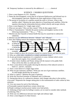46. Temporary hardness is removed by the addition of …………chemical

## SCIENCE : 2 MARKS QUESTIONS

- 1. Draw a neat diagram of a D.C. dynamo.
- 2. Name the electromagnetic waves that lie in between Radiowaves and Infrared rays in electromagnetic spectrum. Mention any three applications of these waves.
- 3. The period of revolution of a satellite around the earth is 24 hours. What is that satellite called ? Mention the main objective of launching such satellites. Write the equation showing the relationship between orbital velocity and escape velocity.
- 4. Draw a neat diagram of a "single stage rocket".
- 5. What are sun-spots ? How are they caused ? Why do they appear dark ?
- 6. What is Transmutation ? Identify the parent nucleus and daughter nucleus in the following transmutation :  $^{88}$  Ra  $_{226}$  —  $^{86}$  Rn  $_{222}$
- 7. Mention any *four* hazards to human health that may be caused due to radioactive radiations.
- 8. Mention any *two* differences between "Alkanes" and "Alkynes".
- 9. How does boiling remove the temporary hardness of water ? Explain it, with Balanced chemical equations.
- The teaming remove the temporary naturess of water : Explain It, which<br>chemical equations.<br>The last English at English explicit in the Power's like of a p trough e.<br>The last engine in the efficiency of the last engine.<br>The 10. a) What are  $\frac{1}{2}$  at Eng. 25 ? How a  $\frac{1}{2}$  are they classified broadly b) Explain the Power stroke of a petrol angine. c) Write the  $r$  rmula for the efficiency  $\alpha$  heat engine.
- 11. Which character tic of vertebrates mode then get ready to live and Give one example.  $\blacksquare$
- 12. Draw a sketch to show the structure of pistil in a typical flower and label the parts.
- 13. Why are xylem tubes considered as complex permanent tissue ?
- 14. As per government regulations it is compulsory to wear a helmet which covers up to the neck region. Give scientific reason.
- 15. A farmer mixes Anabena and Nostoc along with the manure in his paddy field. What will be the effect on yield and why ?
- 16. Draw a neat sketch of the graphs showing the direction of the induced current in both A.C. and D.C. dynamos.
- 17. Draw a neat sketch of a single stage rocket.
- 18. What are geo-stationary satellites ? Write any one use of geo-stationary satellites. At what height should they be located ?
- 19. What is a galaxy ? Mention the types of galaxies.
- 20. Write the structural formulae of Isobutane and Cyclohexane.

21. During beta decay of a radioactive element, what changes take place in the nucleus of an atom ? Represent the changes taking place in the transmutation of radio carbon by beta emission.

- 22. Give one reason for each of the following :
- a) Fissionable material should have certain critical size.
- b) People working in nuclear power station wear lead jackets.

23. Softening of hard water by boiling is easiest, yet we need to consider other methods of softening. Why ?

- 24. Write any two differences between laser light and ordinary light.
- 25. Draw a neat diagram of a blast furnace.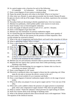- 26. In a petrol engine write a function for each of the following :
- i) Crankshaft ii) Carburettor iii) Spark plug iv) Inlet valve
- 27. Draw a neat diagram of root system in monocot plant.
- 28. Name the protein that gives red colour to the blood. What is its function ?

29. After relay race, Runner-A, pours glucose powder into his mouth. Runner-B tastes the glucose slowly with tip of his tongue. Whom do you think, experiences the sweetness most ? Why ?

- 30. Nowadays birds are decreasing in thickly populated area. Give two reasons.
- 31. Mention two pollutants, which pollute public water sources in rural areas.
- 32. State Faraday's laws of electromagnetic induction.
- 33. Draw the graph of induced current in each of A.C. and D.C. Dynamo.
- 34. Draw a neat diagram of gas laser tube.
- 35. Mention any four limitations of external combustion engine.

36. It is found that pig iron obtained from blast furnace contains more quantity of silica and carbon. What are the reasons for the presence of these impurities. How can this mistake be corrected in future?

37. What is the role of magnesium and hydrochloric acid used in the extraction of silicon.

- 38. What is annealing of glass? Why it is done?
- 39. Draw a neat diagram of the column used in the softening of hard water by permutit process.
- 40. Write the circuit symbol of n-p-n and p-p transistors.
- So. Diaw a neat diagram of the column used in the softening of hard water by periprocess.<br>
40. Write the circle symbol of n-p-n and the p-p transistors.<br>
41. What is the sightficant correcteristic accorrected by Pteridon i 41. What is the significant characteristic acquired by Pteridophytes in the process of Evolution? Five two camples for Pterio hytes. Evolution? Five two camples  $f$   $r$  Pteriod hytes. 42. a) How is the Stomach wall protected against the acidic contents secreted in it?
- b) Why should heart have involuntary muscle?
- b) What is the treatment for this condition?
- 44. Mention any two precautionary measures taken to prevent infection of HIV.
- 45. Mention the four aspects that a person must check while purchasing a sealed Drinking water bottle.
- 46. Which aspect of biotechnology do you suggest to a farmer who is at loss in cultivating rose plants? And why?
- 47. Draw a neat diagram of a DC motor.
- 48. Electricity is produced when a bar magnet is thrust into the conducting coil. What steps do you take to increase the electric current in the coil ?
- 49. Draw a neat circuit symbol of *n-p-n* transistor and diode.
- 50. Draw a neat diagram of internal combustion engine which is in the stage of power stroke.
- 51. What is the alloy you prepare if you are given copper and tin ? Give one use of the alloy.
- 52. When nitric acid is added to detect the presence of copper present in ornamental gold, what is the compound of copper formed ? Why does not gold change ?
- 53. What is cement ? Name the substance which prevents too rapid setting of cement.
- 54. Write four reasons about acute shortage of drinking water.

55. What is the element produced when silicon dioxide reacts with magnesium ? Write The equation of the chemical reaction.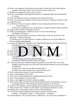- 56. Draw a neat diagram of the permutit tower used to soften hard water indicating the positions where hard water is sent in and soft water is drawn out.
- 57. Mention two properties and two uses of Laser.
- 58. Draw a neat diagram indicating the dispersion of composite light and recombination of colours.
- 59. Write one difference between solar flares and solar prominences.

60. Draw a neat schematic diagram of the structure of the sun to indicate clearly the solar core and solar zones.

61. a) Why does the size of copper cathode increase during the purification of copper By electrolysis ?

b) Why does a goldsmith mix a small amount of copper to gold to make ornaments 62. Explain the extraction of amorphous silicon.

- 63. What are thermoplastics ? Mention one use of each of the following : a) Polythene b) Nylon-6.
- 64. Mention two characteristics of aromatic hydrocarbons. Write the structures of the following : Ethyne b) Benzene.

47. Mention any two salient features of reptiles. Mention any one major difference between reptiles and mammals.

- 65. A person is subjected to blood test. It is found that the glucose level in the blood has
	- increased and is also urinating frequently.<br>a) From  $\overline{w}$   $\overline{w}$   $\overline{w}$   $\overline{w}$  is the person suffert. a) From what discase is the person
	- b) What how hone should be administered to control this disease 2
- 66. Name the four ypes of cells present in  $x$  em issue.
- 67. How does Hepatitis-B transmit from one to another ?
- d and is also urinating frequently.<br>
which can be administrated by control the spease<br>
but we set of the speaker in a semi-set of the speaker<br>
dell w color d cold drinks sold a shanties and fails shoul no<br>
ed.<br>
a disease w 68. Generally yell  $\alpha$  coloured cold drinks sold in shanties and fair should not be

consumed.

a) Which disease will we be affected by this ?

- b) Name the adulterant present in this cold drinks.
- 69. "In the previous year a farmer had grown groundnut in his field. This year he has thought of growing ragi crop in the same field and has decided to use lesser quantity of fertilizers."
	- a) What is the reason for the above decision taken ?
	- b) What crop can he cultivate in the same field next year ?
- 70. Write common parts present in motor and dynamo.
- 71. Draw a neat diagram of DC motor.
- 72. Write any two experimental facts regarding photoelectric effect.
- 73. Draw a block diagram of radio receiver.
- 74. Draw a neat diagram of external combustion engine.
- 75. What is the product formed when heated aluminium powder is sprinkled in a gas jar containing chlorine ? Write balanced chemical equation of the reaction.
- 76. a) How is the substance used in grinding tools prepared from silicon and coke ?
- 77. What is hard water ? Name two salts which cause temporary hardness in water.
- 78. Mention any two functions of the secretion of lacrimal glands.
- 79. List out the common adulterants that may be present in the following :

a) Honey b) Turmeric powder c) Coffee powder d) Pepper.

80. Thyroid gland of a 40 year old person is underactive. List out any four symptoms of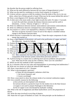the disorder that the person might be suffering from.

- 81. What are the main differences between the two types of biogeochemical cycles ?
- 82. What was the need for vertebrates to evolve from oviparity to viviparity ?
- 83. A doctor advises a person to shift his residence from the midst of the city to city out skirts, where lots of lichen growth is found. What may be the reason behind this advice ?
- 84. Draw a neat diagram of AC dynamo and label the parts.
- 85. A robot sent to the moon sends a laser light towards the earth. If it takes 1·3 seconds to reach the earth then calculate the distance between moon and the earth in kilometres. (Given : Velocity of light is  $3 \times 10^8$  m/s)
- 86. Write two differences between intrinsic semiconductor and extrinsic semiconductor.
- 87. Write two differences between centripetal force and centrifugal force.
- 88. Two masses *m* 1 and *m* 2 are separated by a distance *d*. Find by how many times The force of gravity increases if mass of each of the objects is doubled without change in the distance between them.
- 89. Which reaction is responsible for solar energy ? Name the major component of solar energy that reaches us.
- 90. Draw a neat diagram of electrolytic cell used in the purification of copper and label The following : Anode b) Cathode.
- 91. Explain the **method of extraction of amorphous silicon using silica.**
- Depends of extraction of exporphere silicon weing silica.<br>
The discussion of extraction of exporphere silicon weing silica.<br>
The discussion wing permet and process of softeni and wave and<br>
the discussion wing to the discus 92. Draw a neat diagram showing permutity process of softening hard water and label the following : 1) Zeolite ayer b) S ft water layer.
- 93. Differentiate between the two types of root systems found in angingle rest
- 94. What are Dendrites and Axons ? Write any one difference between them.
- 94. What are Dentities and exons ? Will te any contribution between the n.<br>95. The rate of freatule was and breathing has increased in a person, while running in a race. After sometimes the heart-beat and breathing becomes normal. Which two components of the nervous system control these processes and how ?
- 96. A person living in a coastal area is suffering from nervous problems and protruded eyes. What may be the cause for this condition ? How can it be controlled ?
- 97. Which are the four methods of HIV transmission ?
- 98. As a consumer what are your roles and responsibilities in preventing food adulteration ?
- 99. Write any two factors on which the induced EMF depends.
- 100. Draw a neat sketch of a D.C. Dynamo
- 101. What is electromagnetic spectrum?
	- a) Name the electromagnetic radiations which has
	- 1. the lowest frequency and
	- 2. lowest wavelength
- 102. Draw a neat sketch to show the exhaust stroke of an external combustion engine.
- 103. Give scientific reasons for the following
	- a) Iron articles are electroplated with chromium
	- b) Calcium silicate is a protective layer for the molten iron in the blast furnace
	- c) Copper is not used to prepare Hydrogen in the laboratory
	- d) Ore of copper is not concentrated by hydraulic washing.

104. What is the role of magnesium and dilute hydrochloric acid in the preparation of silicon.

105. Write the steps involved in recycling of plastics.

106. Name the two types of Hardness in water. On what principle can the hardness of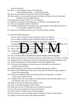water be removed?

- 107. Draw a circuit symbol of each of the following
	- a) forward biased diode b) Transistor of npn
- 108. How are ear and throat connected? What is its advantage?
- 109. Raju resides in an area where not much of lichens are found. List any four health hazards he may be suffering from.
- 110. Explain the structure of HIV in 2 or 3 sentences.
- 111. Mention one function of the following: a) Sclerides b) Companion cells
- 112. How can vanaspathi in ghee be detected?
- 113. A student has uprooted a weed plant in the school garden. The student infers that It is a dicot plant. Support the inference.
- 114. Write any two differences between AC Dynamo and DC Dynamo
- 115. Name the following process
	- (1) In an atom, an electron from an orbit E1 raises to an orbit E2
	- (2) In an atom, an electron from an orbit  $E2$  jumps to an orbit  $E1$
	- (3) Atoms are raised from lower energy level to higher energy level
	- (4) Supplying  $[ergy]$  in external space, to raise the atoms to high energy level
- 116. Draw the bloc diagram f a simple radio receiver.
- 117. Draw a sketch f external combustion engine showing exhaust stroke.
- The rate of the diagram of a simple rate at the att a stop high street that the diagram of a simple rate iver.<br>
The diagram of a simple rate iver.<br>
The diagram of a simple rate iver.<br>
The diagram of a simple rate iver.<br>
Th 118. Choose the components used to premare german silver and bronze from the Following : Copper, Zinc, Tin, Nickel.
- 119. How silicon carbide is obtained from silicon? Explain with the equation
- 120. What is polymerization? Name the monomers of the following. (1) Teflon (2) Nylon.
- 121. Angiosperms are considered as the most evolved plants in the plant kingdom, why?
- 122. Name components of xylem & phloem which have lignified wall.
- 123. How does the intelligence of man increase as thickness & convolutions of cerebral cortex increase?
- 124. Why pneumonia is not cured in an individual suffering from AIDS ?
- 125. What is food Adulteration? Write any two precautions taken by the government to control food adulteration.
- 126. What are the different stages of recycling which are responsible to consider carbon cycle as perfect cycle?
- 127. A magnet and a coil are moving in the same direction and with same speed e.m.f is not induced in the coil ? Give reason.
- 128. What are the factors influencing induced e.m.f?
- 129. Draw a neat labeled diagram of DC Motor.
- 130. Write any two uses of Ultraviolet ray in the field of medicine.
- 131. Give the circuit symbols of two types of transistor.
- 132. Draw a sketch of intake stroke of a petrol engine
- 133. Give reason for each of the following (1) Nichrome is used to make heating
- (2) Copper is mixed with gold while making ornaments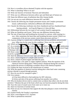- 134. How is crystalline silicon obtained? Explain with the equation
- 135. What is annealing? What is its use?
- 136. Write one function of hormone Thyroxin and Adrenaline
- 137. Write any two differences between yellow spot and blind spot of human eye.
- 138. Name the different types of pollutions that effect human health.
- 139. List out any two main differences between HIV and HBV
- 140. Classify the following into Simple permanent tissues and Complex permanent tissues. (a)Parenchyma (b)Xylem (c)Phloem (d)Collenchyma
- 141. Classify the following vertebrates into three chambered and four chambered heart bearing animals (a) Frog (b) Pigeon (c) Cobra (d) Man
- 142. Differentiate between the two types of root systems found in angiosperms.
- 143. What are Dendrites and Axons ? Write any one difference between them.
- 144. The rate of heart-beat and breathing has increased in a person, while running in a race. After sometimes the heart-beat and breathing becomes normal. Which two components of the nervous system control these processes and how ?
- 145. A person living in a coastal area is suffering from nervous problems and protruded eyes. What may be the cause for this condition ? How can it be controlled ?
- 146. Which are the four methods of  $HIV$  transmission ?
- The structure cause for this condition? How can it be controlled<br>
The four methods of HIV transmission?<br>
The four methods of HIV transmission?<br>
The angle etween tion and methods in the current<br>
In the angle etween the curr 147. As a consumer that are our roles a  $\alpha$  esponsibilities in preventing to d adulteration 148. What should be the angle etween thumb ( main ) finger, for inger and central finger in Fleming's left hand rule ? V hat does each finder indicate ? 149. Draw a neat diagram of  $\bigtriangleup$  dynamo and represent the current in it is external
- circuit by a graph.
- 150. State the difference between laser light and ordinary light.
- 151. Draw a block diagram of a simple radio receiver.
- 152. Draw a sketch of petrol engine and label the parts.
- 153. A student dips a zinc plate in copper sulphate solution. Write the equation of the chemical reaction taking place. Which metal is displaced during this reaction ?
- 154. Explain the process of obtaining crystalline silicon with chemical equation.
- 155. Explain the steps involved in the manufacture of cement.
- 156. Write the equation of chemical reaction taking place when hard water containing calcium chloride is passed through permutit.
- 157. How do you test for vanaspati in ghee ?
- 158. Give reasons :
	- a) It has been difficult to find medicines for HIV infection.
	- b) Sclera and skin of the person suffering from jaundice turn yellow.
- 159. Why do drunken drivers tend to commit more accidents than others who do not drink and drive ? Mention the part of the brain which may not function properly during this time.
- 160. Trace the route of sound waves from outer ear to inner ear.
- 161. State two functions of areolar tissue.
- 162. Point out any two characters that support the idea that platypus is more evolved than tortoise.
- 163. Explain briefly the Faraday's experiment
- 164. Draw a neat diagram of A.C dynamo
- 165. What is spontaneous emission?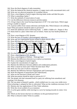166. Draw the block diagram of radio transmitter.

167. Write the balanced the chemical equation, if copper reacts with concentrated nitric acid 168. Write any two physical properties of crystalline silicon.

169. Draw a neat diagram of petrol engine showing intake stroke and label the parts.

170. What is annealing of glass ?

171. Write the methods of conservation of water.

172. List the differences between monocot and dicot plants

173. A frog is kept in the vessel having temperature of  $30^{\circ}$  C for some hours. Which organ of frog is unable to respire?

174. A person suffers from various infections and finally dies. Which disease is he suffering from? What precautions should be taken to prevent it?

175. Name the adulterant used in following foods a. Milk b. Edible oil c. Pepper d. Rice 176. Rama lined in a place where there are no lichens. Name any four health problems of him.

178. Draw a neat diagram of DC dynamo.

179. Write the laws of Faraday's electromagnetic induction.

180. Write any two experimental factors related to photo electric effect.

181. Draw the diagrams of forward bias and reverse bias.

182. Draw a neat diagram of petrol engine and label its part

diagrams of forward bias and reverse bias.<br>
at diagram of petrol engine and label its parts<br>
by then setting pl s. ?How is it different from order<br>
are into any two bias of it.<br>
actors does the induced e.m.f. in a coil de 183. What is meant by then spectting plastic?  $?$  How is it different from ordinary plastic?

184. What is hard rater? Mention any two poblems of it.

- 185. Balance the following comical equation.  $Z_1 + HNO_3 - Z_1 + (N_3) + H_2$ 
	- $+$  Hcl ---- ------  $Fecl_2$  + H<sub>2</sub>.

186. On what factors does the induced e.m.f. in a coil depend?

187. Draw a neat diagram of DC dynamo.

188. Draw a neat diagram of Helium – Neon gas laser.

189. Mention the differences between n-p-n and p-n-p transistors.

- 190. Draw a neat diagram of petrol engine.
- 191. Explain the concentration of copper ore.
- 192. Mention the difference between addition and condensation polymers.
- 193. What is meant by hard water? Water becomes hard. Why?
- 194. Write any four uses of silicon compound.
- 195. Mention the difference between Angiosperms and Gymnosperms.

196. Write the diagrams of parenchyma and collenchymas.

197. What are the functions of Rods and Cones?

198. What precautions should be taken to prevent H.I.V?

199. The people who had consumed food in a party are suffering from amoebiosis and vomiting. Give Reasons.

200. The rose plant in Ramesh's garden , which yielded once in a year, now yields twice. What technology is adopted by him in cultivation? What are the conditions necessary for it?

201. Mention any four applications of Ultra Violet radiations.

202. Write the circuit symbol of n-p-n transistor.

203. A cyclist gains stability while moving in a curve by leaning towards its centre. Give reason.

204. Which are the factors that have no influence on the gravitational force?

205. What is refractive index? Write its symbol.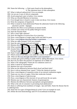206. Name the following : a. Dark spots found on the photosphere.

b. The outermost layer of solar atmosphere.

- 207. What is induced radioactivity? Give an example.
- 208. List out any 4 uses of silicon compounds.
- 209. Avoid using hard water in boilers. Give reasons.
- 210. What are rhizoids?Mention its functions.
- 211. Even though lotus is found in water it does not decay. Give reason.
- 212. Write the symptoms of hepatitis B.
- 213. What is meant by food adulteration?Name the aduterants found in the following a)turmeric powder b)pepper.
- 214. Mention the effects of air pollution on human health.
- 215. A farmer uses nostoc for his paddy field.give reason.
- 216. State the Dynamo Rule.
- 217. Why is laser light coherent?
- 218. Draw the diagram of reverse bias of p-n junction.
- 219. Draw a neat diagram of single stage rocket and label its parts.
- 220. Draw a neat diagram showing Faraday's experiment.
- 221. What are radio-isotopes? Give two examples
- 222. State the uses of invar steel and nichrome.
- 223. Mention the role of magnesium powder in the extraction of silicon by  $q$  fitz
- 224. What is permutik Name the chemical used to regenerate it.
- The Transposium power of the electraction of the traction of the Hautiti Name is chemical used to regenerate it and the property of the maize and dhalo to send the state of the conduction of the property of the state of th 225. Assume that a farmer grow maize and dhall crops in his field to ether at a time. During drought which crop dries first
- 226. Name 4 types of cells of vater conducting tissue
- 227. Which action of our body is not under the control of our brain? Give an example
- 228. What are the ways through which HIV is not transmitted?
- 229. A farmer gets good yielding in paddy field by adding Rhizobium. Give reason.
- 230. How do you detect the presence of argemone oil in edible oil?
- 231. What is the radiography? Name the two radiations used in it.
- 232. What is meant by transmutation?
- 233. Mention four uses of porcelain.
- 234..What are the differences between black dwarf and black hole?
- 235. How is silicon obtained from 'quartz'? Write the chemical reaction.
- 236. Draw a neat diagram of expansion stroke of an external combustion engine
- 237. Name any two ores of copper. Write their molecular formula
- 238. Draw a neat diagram of spectroscope.
- 239. Draw a neat diagram of the structure of sun and locate the sun spots.
- 240. Mention any two characteristic features of gymnosperms
- 241. Mention the difference between sporophytes and gametophytes
- 242. What is the role of consumer in preventing food adulteration?

243. Ramu is suffering from numbness of tongue , lips and limbs .Name the disease that he is suffering from.

- 244. Name the two types of biogeochemical cycles? Give an example for each.
- 245. Define the term biotechnology and D N A recombinant technology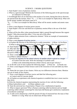### SCIENCE : 3 MARK QUESTIONS

1. State Kepler's laws of planetary motion.

2. What is a spectroscope? Mention the functions of the following parts in the spectroscope. a) Collimator b) Telescope.

3. Eventhough there are no electrons in the nucleus of an atom, during beta decay electrons are ejected from the nucleus. How?  ${}^ZX_A \rightarrow Y$ . This is an example for Alpha decay. What will be the atomic number and atomic mass of Y.

 ${}^ZX_A \rightarrow Y$ . This is an example for Beta decay. What will be atomic number and atomic mass of Y.

4. Draw a neat diagram of nuclear power reactor.

5. State Kepler's first law and third law of planetary motion.What is the use of the third law ?

6. What will be the effect when monochromatic light is passed through benzene like organic liquids ? Who discovered this effect ? Give one use of this effect.

7. What is alpha emission from a radioactive element ? Write an example of transmutation of alpha emission.

8. Draw a neat diagram of nuclear reactor.

9. a) Explain the function of the following in a radio transmitter : i) Mixer ii) Oscillator.

10. State Kepler's laws of planetary motion.

b) What is meant by forward biasing of a diode ? How does it affect the resistance ?<br>10. State Kepler's laws of protectary motion of the element of the same of the same of the same of the same of the same of the same of th 11. Why does the mass number of the element remain the same  $d$  ing  $B/d$  ecay ? The half-life of a radioactive element is 1600 rears. What mass of 200  $\overline{ms}$  of that element is decayed in  $4800$  yers ?

12. Draw a neat dia **the of a** D.C. motor

13.a) What is orbital velocity?

- b) Write the equation for the orbital velocity of satellite which is placed at a height of *h* metre from the earth. Write the meanings of symbols used.
	- c) What is the relationship between orbital velocity and escape velocity ?

14. In the life cycle of stars explain the following stages : i) Proto star ii) Steady star. 15. Draw a neat diagram of blast furnace used in the extraction of iron and label any three

parts. 16. Name the two types of star clusters. Write any two differences between them. Mention one use of study of star clusters.

17. Draw a neat diagram of nuclear reactor and label the following parts :

a) Control rods b) Concrete shield.

18. a) Explain an experiment with chemical equation to establish that iron is more reactive than silver.

b) Write the chemical equation representing the reaction of zinc with the following :

i) Dilute hydrochloric acid ii) Dilute sulphuric acid.

30. State the universal law of gravitation. Prepare it by a mathematical equation.

31. What is impure spectrum? Why is Raman scattering called incoherent and ray height scattering called coherent scattering?On what basis did Raman give satisfactory explanation of incoherent scattering?

32. A radio active element has a half life period of 8 days If measured how the mass of that element is 3.125g. What was its initial mass 40 days before.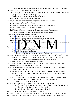- 33. Draw a neat diagram of the device that converts nuclear energy into electrical energy.
- 34. State the law of conservation of momentum
	- "The escape velocity on the earth is 11.2km/s" What does it mean? How are orbital and escape velocities related to one another?
		- At what height Geostationary satellite is launched.
- 30. State Kepler's three laws of planetary motion..
- 31. Imagine that you are a doctor by using which isotope you will treat.
	- (1) A person is suffering from Cancer
	- (2) Growth of a person is retarded due to bulging of Thyroid gland
- 32. a) How can we obtain a line emission spectrum?
	- b) Write the differences between Rayleigh scattering and Raman effect
- 33. Draw a neat labelled diagram of nuclear reactor and label the parts.
- 31) a) State the universal law of gravitation.
	- b) Mention four points successfully explained by it.
- - b) What is  $t +$  reason for dispersion
- 32 a) How can overlapping of colours in spectroscope be minimized?<br>
b) What is the reason for dispersion of the extended by candle flame and light minimized?<br>
c) Mention entry to be obtained by the extended by candle flame c) Mention  $\epsilon$  type of pectrum obtained by candle flame and light emitted from gases or vapour
- 33. Write the name of the  $\sim$  otopes used in the following cases
	- a) To find the age of fossil of Dynosars
	- b) To study the action of medicines
	- c) To determine the kind of phosphate required for Ragi crop.
- 34. Sketch the diagram of nuclear fission reaction and label neutron and fission fragments
	- a) Calculate the number of neutrons liberated in the third stage of nuclear fission reaction liberating two neutrons when a nucleus gets fissioned
- 35. Explain the function of the constituents of plasma.
- 36. Draw a diagram to show the structure of a typical flower and label any two parts.
- 37. Write Kepler's three laws of planetary motion.
- 38. a) The age of which of the following materials can be found by using radio-carbon ? Quartz, Wood, Copper.
	- b) Half-life period of radio phosphorus is 3 minutes. After its preparation it decays and in 12 minutes 2 grams of mass is remained. What was its initial mass when it was prepared ?
- 39. What is spectroscope ? Write functions of collimator and telescope of a spectroscope.
- 40. Draw a neat diagram of nuclear power plant and label the following parts : i) Moderator ii) Heat exchanger.
- 41. a) Mention one difference between nitrification and denitrification.
	- b) The effluents released into the river by chemical industry is more than the norms. What may be the effect on fauna in this river ?
	- c) What role do saprophytes play in ecological balance ?
- 42. Draw the Diagram of neuron and label any two parts.
- 43. State the universal law of gravitation. Write the mathematical expression of this law.
- 44. Describe the experiment conducted by C. V. Raman to demonstrate Raman effect.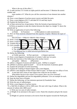What is the use of this effect ?

45. A radio nucleus *Z X A* emits an alpha particle and becomes *Y*. Mention the atomic number and

mass number of *Y*. What do you call the conversion of one element into another element ?

46. Draw a neat diagram of nuclear power reactor and label the parts.

47. Draw a neat diagram of H I V and label R N A and fatty layers

48. Explain the function of ears

49. a) State universal law of gravitation. Write the formula of gravitational force.

 b) Write an equation to state the relation between the object at a height 'h' above the ground and 'g'.

50. Write an application of each of the following:

a) Diode b) Transistor c) Microphone in radio transmission. 51. How are three neutrons obtained from this equation. Explain .Mention the types of reaction.

92U235+0n1-->56Ba141+36Kr92+30n1+Energy

52. Write a neat diagram of preparation of soap. Label any 2 parts of it.

- 53. Draw a neat dia  $\lim_{n \to \infty}$  of must and plant and label its parts .
- 54. Explain the steps of sewage treatment
- 55. Give scientific reasons for the following:

a. Astronaut biting in a space craft experiences weight essn

Jn1-->56Ba141+36Kr92+30n1+Energy<br>
diagram of preparation of eoap. Label any 2 ports of it.<br>
dia<br>
am of b stard plan<br>
a label its parts .<br>
of sewa treatmen<br>
ic i usons for he following:<br>
ut biting i a space craft experience b. The value of acceleration due to gravity (g) varies on the earth.

c. Gravitational law is called universal gravitation law.

56. Define the following:

a) Visible spectrum b) Pure spectrum c) Impure spectrum

57. Draw a neat diagram of manufacture of cement. Label any two parts.

58. Write the functions of the following in the nuclear reactor

a)Graphite b)Boron c)Plutonium

- 59. a)Draw a diagram of neuron and label its parts. b)What is synapse?
- 60. a)Where is pituitary gland located? b) List the functions of pituitary gland.
- 61. Explain the principle of rocket launching.
- 62. Explain the working of Steam Engine with a neat diagram.
- 63. a)Write a neat diagram of blast furnace label its parts. b) Name any two alloys of iron.
- 64. A man had clear vision of near objects but could not see far object.

What defect has he in his vision? Give reason. How can it be corrected?

65. Define bio degradable and non bio degradable pollutants. Give an example for each.

- 66. State the three laws of Kepler.
- 67. Define the following: a) Line emission spectrum b) Fraunhofer lines
- 68. Write the uses of radioisotopes.
- 69. Write a neat diagram of nuclear reactor.

70. a. Half life of radium is 226 in 1600 years. We start with 1mg of radium. What is the amount of radium after 4800 years?

b. Write any two uses of radio-isotopes.

71. a) Weight of an astronaut in the space is zero. Name this situation and give the reason for it.

b) Weight of a person increases as he moves from the equator towards the North pole.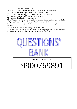What is the reason for it?

- 72. What is spectroscope? Mention any one use of each of the following
	- a) Line Emission Spectroscope b) Fraunhofer lines
- 73. Draw a neat diagram of nuclear power plant and label its parts.
- 74. Write a neat diagram of flower and label its parts.
- 75. Write the classification of plant tissue.

76. a)Which law of Kepler can be applied to calculate the mass of the sun b) Define weight.c) Write the value of Universal Gravitational Constant

77. Explain the following : a) Continuous emission spectrum b) Absorption emission spectrum

- 78. The value of 'Z' increases during beta decay. Why?
- 79. Where are the following isotopes used? a. Radio-phosphorus b. Radio-carbon
- 80. Write the schematic representation of chain reaction of U-235.



9900769891